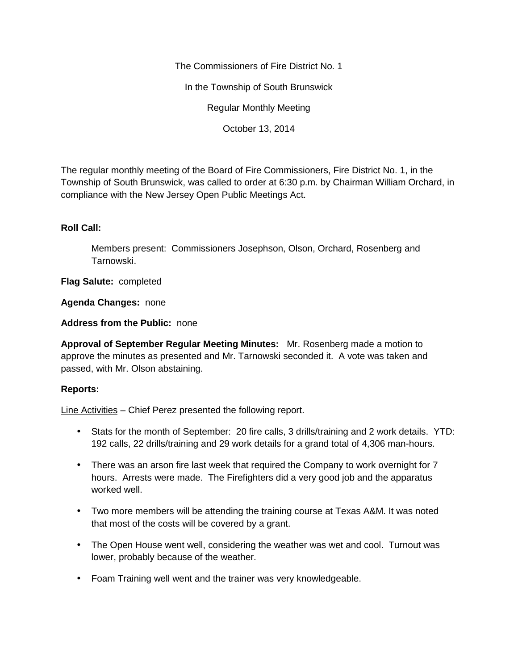The Commissioners of Fire District No. 1

In the Township of South Brunswick

Regular Monthly Meeting

October 13, 2014

The regular monthly meeting of the Board of Fire Commissioners, Fire District No. 1, in the Township of South Brunswick, was called to order at 6:30 p.m. by Chairman William Orchard, in compliance with the New Jersey Open Public Meetings Act.

## **Roll Call:**

Members present: Commissioners Josephson, Olson, Orchard, Rosenberg and Tarnowski.

**Flag Salute:** completed

**Agenda Changes:** none

**Address from the Public:** none

**Approval of September Regular Meeting Minutes:** Mr. Rosenberg made a motion to approve the minutes as presented and Mr. Tarnowski seconded it. A vote was taken and passed, with Mr. Olson abstaining.

## **Reports:**

Line Activities – Chief Perez presented the following report.

- Stats for the month of September: 20 fire calls, 3 drills/training and 2 work details. YTD: 192 calls, 22 drills/training and 29 work details for a grand total of 4,306 man-hours.
- There was an arson fire last week that required the Company to work overnight for 7 hours. Arrests were made. The Firefighters did a very good job and the apparatus worked well.
- Two more members will be attending the training course at Texas A&M. It was noted that most of the costs will be covered by a grant.
- The Open House went well, considering the weather was wet and cool. Turnout was lower, probably because of the weather.
- Foam Training well went and the trainer was very knowledgeable.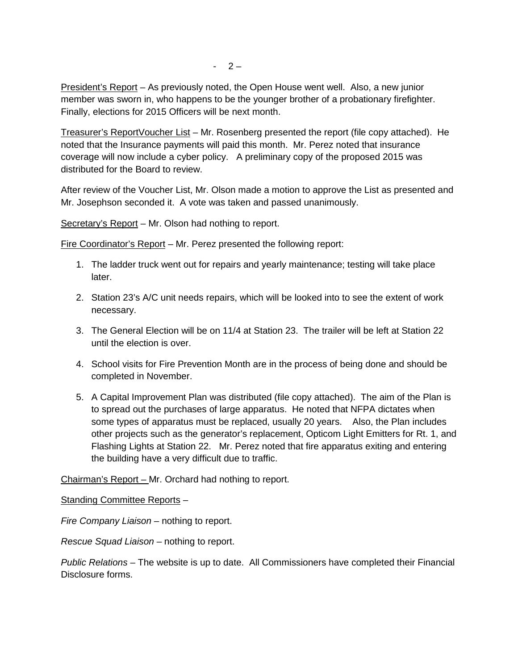President's Report – As previously noted, the Open House went well. Also, a new junior member was sworn in, who happens to be the younger brother of a probationary firefighter. Finally, elections for 2015 Officers will be next month.

Treasurer's ReportVoucher List – Mr. Rosenberg presented the report (file copy attached). He noted that the Insurance payments will paid this month. Mr. Perez noted that insurance coverage will now include a cyber policy. A preliminary copy of the proposed 2015 was distributed for the Board to review.

After review of the Voucher List, Mr. Olson made a motion to approve the List as presented and Mr. Josephson seconded it. A vote was taken and passed unanimously.

Secretary's Report - Mr. Olson had nothing to report.

Fire Coordinator's Report – Mr. Perez presented the following report:

- 1. The ladder truck went out for repairs and yearly maintenance; testing will take place later.
- 2. Station 23's A/C unit needs repairs, which will be looked into to see the extent of work necessary.
- 3. The General Election will be on 11/4 at Station 23. The trailer will be left at Station 22 until the election is over.
- 4. School visits for Fire Prevention Month are in the process of being done and should be completed in November.
- 5. A Capital Improvement Plan was distributed (file copy attached). The aim of the Plan is to spread out the purchases of large apparatus. He noted that NFPA dictates when some types of apparatus must be replaced, usually 20 years. Also, the Plan includes other projects such as the generator's replacement, Opticom Light Emitters for Rt. 1, and Flashing Lights at Station 22. Mr. Perez noted that fire apparatus exiting and entering the building have a very difficult due to traffic.

Chairman's Report – Mr. Orchard had nothing to report.

Standing Committee Reports –

*Fire Company Liaison –* nothing to report.

*Rescue Squad Liaison –* nothing to report.

*Public Relations –* The website is up to date. All Commissioners have completed their Financial Disclosure forms.